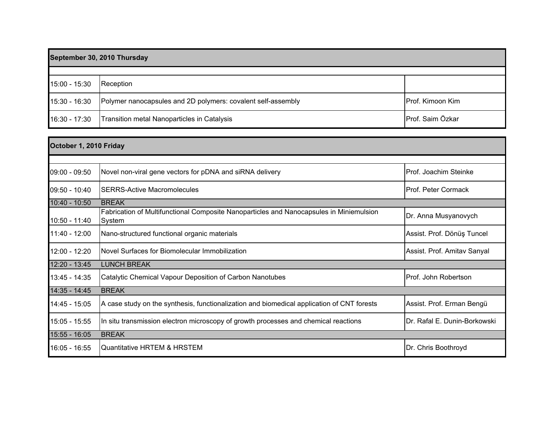| September 30, 2010 Thursday |                                                              |                  |
|-----------------------------|--------------------------------------------------------------|------------------|
|                             |                                                              |                  |
| 15:00 - 15:30               | Reception                                                    |                  |
| 15:30 - 16:30               | Polymer nanocapsules and 2D polymers: covalent self-assembly | Prof. Kimoon Kim |
| 16:30 - 17:30               | Transition metal Nanoparticles in Catalysis                  | Prof. Saim Özkar |

| October 1, 2010 Friday |                                                                                                   |                              |
|------------------------|---------------------------------------------------------------------------------------------------|------------------------------|
|                        |                                                                                                   |                              |
| 09:00 - 09:50          | Novel non-viral gene vectors for pDNA and siRNA delivery                                          | IProf. Joachim Steinke       |
| 09:50 - 10:40          | <b>ISERRS-Active Macromolecules</b>                                                               | IProf. Peter Cormack         |
| $10:40 - 10:50$        | <b>BREAK</b>                                                                                      |                              |
| 10:50 - 11:40          | Fabrication of Multifunctional Composite Nanoparticles and Nanocapsules in Miniemulsion<br>System | Dr. Anna Musyanovych         |
| 11:40 - 12:00          | Nano-structured functional organic materials                                                      | Assist. Prof. Dönüş Tuncel   |
| 12:00 - 12:20          | Novel Surfaces for Biomolecular Immobilization                                                    | Assist. Prof. Amitav Sanyal  |
| 12:20 - 13:45          | <b>LUNCH BREAK</b>                                                                                |                              |
| 13:45 - 14:35          | Catalytic Chemical Vapour Deposition of Carbon Nanotubes                                          | Prof. John Robertson         |
| 14:35 - 14:45          | <b>BREAK</b>                                                                                      |                              |
| 14:45 - 15:05          | A case study on the synthesis, functionalization and biomedical application of CNT forests        | Assist. Prof. Erman Bengü    |
| 15:05 - 15:55          | In situ transmission electron microscopy of growth processes and chemical reactions               | Dr. Rafal E. Dunin-Borkowski |
| 15:55 - 16:05          | <b>BREAK</b>                                                                                      |                              |
| 16:05 - 16:55          | Quantitative HRTEM & HRSTEM                                                                       | Dr. Chris Boothroyd          |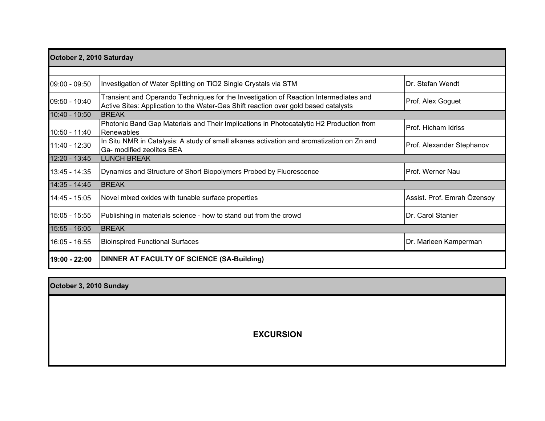| October 2, 2010 Saturday |                                                                                                                                                                              |                             |
|--------------------------|------------------------------------------------------------------------------------------------------------------------------------------------------------------------------|-----------------------------|
|                          |                                                                                                                                                                              |                             |
| 09:00 - 09:50            | Investigation of Water Splitting on TiO2 Single Crystals via STM                                                                                                             | Dr. Stefan Wendt            |
| 09:50 - 10:40            | Transient and Operando Techniques for the Investigation of Reaction Intermediates and<br>Active Sites: Application to the Water-Gas Shift reaction over gold based catalysts | Prof. Alex Goguet           |
| 10:40 - 10:50            | <b>BREAK</b>                                                                                                                                                                 |                             |
| 10:50 - 11:40            | Photonic Band Gap Materials and Their Implications in Photocatalytic H2 Production from<br>Renewables                                                                        | IProf. Hicham Idriss        |
| $11:40 - 12:30$          | In Situ NMR in Catalysis: A study of small alkanes activation and aromatization on Zn and<br>Ga- modified zeolites BEA                                                       | Prof. Alexander Stephanov   |
| 12:20 - 13:45            | <b>LUNCH BREAK</b>                                                                                                                                                           |                             |
| 13:45 - 14:35            | Dynamics and Structure of Short Biopolymers Probed by Fluorescence                                                                                                           | Prof. Werner Nau            |
| 14:35 - 14:45            | <b>BREAK</b>                                                                                                                                                                 |                             |
| 14:45 - 15:05            | Novel mixed oxides with tunable surface properties                                                                                                                           | Assist. Prof. Emrah Özensoy |
| 15:05 - 15:55            | Publishing in materials science - how to stand out from the crowd                                                                                                            | Dr. Carol Stanier           |
| 15:55 - 16:05            | <b>BREAK</b>                                                                                                                                                                 |                             |
| $16:05 - 16:55$          | <b>Bioinspired Functional Surfaces</b>                                                                                                                                       | Dr. Marleen Kamperman       |
| 19:00 - 22:00            | DINNER AT FACULTY OF SCIENCE (SA-Building)                                                                                                                                   |                             |

| October 3, 2010 Sunday |                  |
|------------------------|------------------|
|                        |                  |
|                        |                  |
|                        | <b>EXCURSION</b> |
|                        |                  |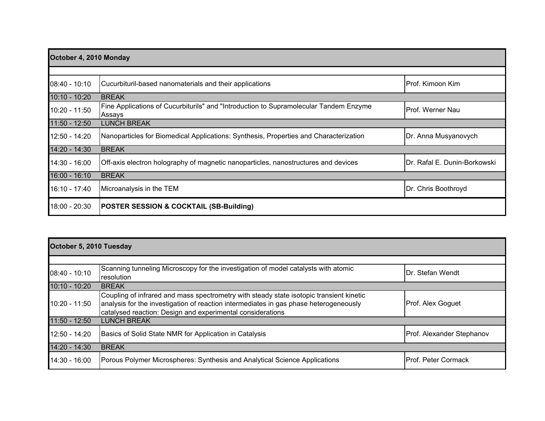| October 4, 2010 Monday |                                                                                                 |                               |
|------------------------|-------------------------------------------------------------------------------------------------|-------------------------------|
|                        |                                                                                                 |                               |
| $08:40 - 10:10$        | Cucurbituril-based nanomaterials and their applications                                         | IProf. Kimoon Kim             |
| $10:10 - 10:20$        | <b>BREAK</b>                                                                                    |                               |
| 10:20 - 11:50          | Fine Applications of Cucurbiturils" and "Introduction to Supramolecular Tandem Enzyme<br>Assays | <b>IProf. Werner Nau</b>      |
| $11:50 - 12:50$        | <b>LUNCH BREAK</b>                                                                              |                               |
| $12:50 - 14:20$        | Nanoparticles for Biomedical Applications: Synthesis, Properties and Characterization           | Dr. Anna Musyanovych          |
| 14:20 - 14:30          | <b>BREAK</b>                                                                                    |                               |
| 14:30 - 16:00          | Off-axis electron holography of magnetic nanoparticles, nanostructures and devices              | IDr. Rafal E. Dunin-Borkowski |
| $16:00 - 16:10$        | <b>BREAK</b>                                                                                    |                               |
| 16:10 - 17:40          | Microanalysis in the TEM                                                                        | Dr. Chris Boothroyd           |
| 18:00 - 20:30          | <b>POSTER SESSION &amp; COCKTAIL (SB-Building)</b>                                              |                               |

| October 5, 2010 Tuesday |                                                                                                                                                                                                                                                |                             |
|-------------------------|------------------------------------------------------------------------------------------------------------------------------------------------------------------------------------------------------------------------------------------------|-----------------------------|
|                         |                                                                                                                                                                                                                                                |                             |
| $08:40 - 10:10$         | Scanning tunneling Microscopy for the investigation of model catalysts with atomic<br>resolution                                                                                                                                               | <b>IDr. Stefan Wendt</b>    |
| $10:10 - 10:20$         | <b>BREAK</b>                                                                                                                                                                                                                                   |                             |
| 10:20 - 11:50           | Coupling of infrared and mass spectrometry with steady state isotopic transient kinetic<br>analysis for the investigation of reaction intermediates in gas phase heterogeneously<br>catalysed reaction: Design and experimental considerations | Prof. Alex Goguet           |
| $11:50 - 12:50$         | <b>LUNCH BREAK</b>                                                                                                                                                                                                                             |                             |
| 12:50 - 14:20           | Basics of Solid State NMR for Application in Catalysis                                                                                                                                                                                         | Prof. Alexander Stephanov   |
| $14:20 - 14:30$         | <b>BREAK</b>                                                                                                                                                                                                                                   |                             |
| 14:30 - 16:00           | Porous Polymer Microspheres: Synthesis and Analytical Science Applications                                                                                                                                                                     | <b>IProf. Peter Cormack</b> |